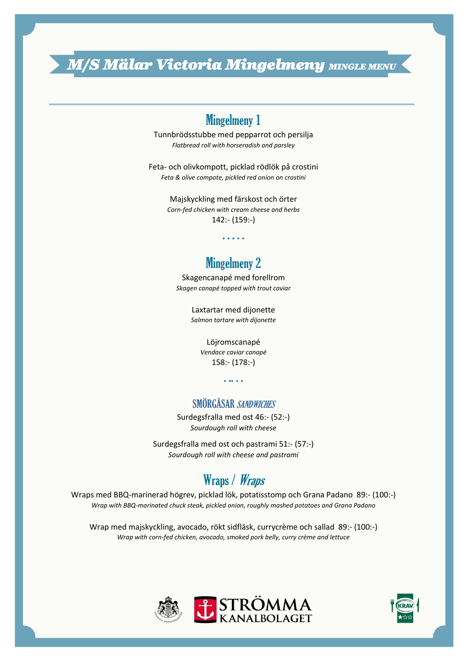*M/S Mälar Victoria Mingelmeny MINGLE MENU* 

# Mingelmeny 1

Tunnbrödsstubbe med pepparrot och persilja *Flatbread roll with horseradish and parsley*

Feta- och olivkompott, picklad rödlök på crostini *Feta & olive compote, pickled red onion on crostini* 

> Majskyckling med färskost och örter *Corn-fed chicken with cream cheese and herbs* 142:- (159:-)

> > . . . . .

## Mingelmeny 2

Skagencanapé med forellrom *Skagen canapé topped with trout caviar*

> Laxtartar med dijonette *Salmon tartare with dijonette*

> > Löjromscanapé

*Vendace caviar canapé* 158:- (178:-)

. .. . .

#### SMÖRGÅSAR SANDWICHES

Surdegsfralla med ost 46:- (52:-) *Sourdough roll with cheese*

Surdegsfralla med ost och pastrami 51:- (57:-) *Sourdough roll with cheese and pastrami*

# Wraps / Wraps

Wraps med BBQ-marinerad högrev, picklad lök, potatisstomp och Grana Padano 89:- (100:-) *Wrap with BBQ-marinated chuck steak, pickled onion, roughly mashed potatoes and Grana Padano*

Wrap med majskyckling, avocado, rökt sidfläsk, currycrème och sallad 89:- (100:-) *Wrap with corn-fed chicken, avocado, smoked pork belly, curry crème and lettuce*